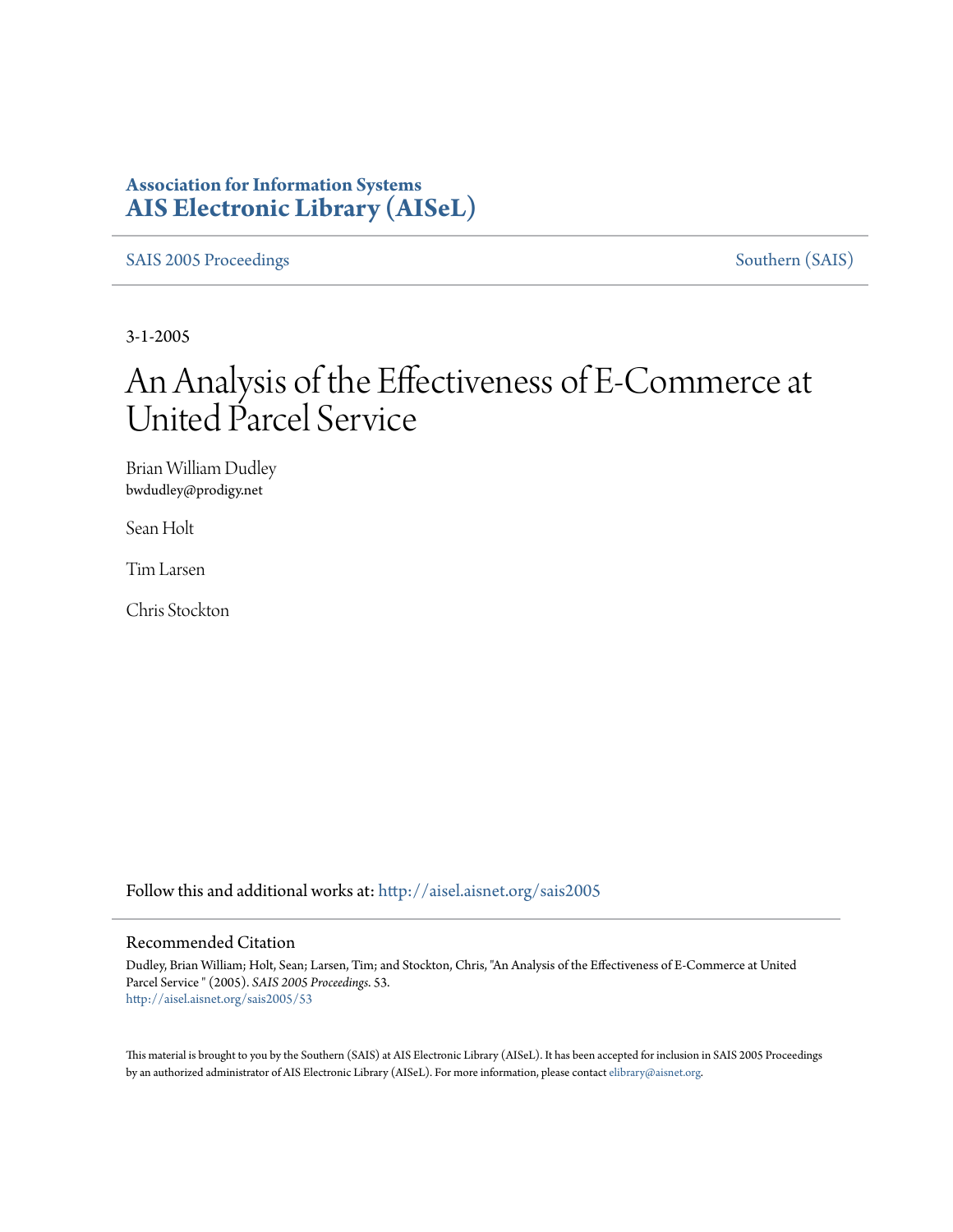## **Association for Information Systems [AIS Electronic Library \(AISeL\)](http://aisel.aisnet.org?utm_source=aisel.aisnet.org%2Fsais2005%2F53&utm_medium=PDF&utm_campaign=PDFCoverPages)**

[SAIS 2005 Proceedings](http://aisel.aisnet.org/sais2005?utm_source=aisel.aisnet.org%2Fsais2005%2F53&utm_medium=PDF&utm_campaign=PDFCoverPages) [Southern \(SAIS\)](http://aisel.aisnet.org/sais?utm_source=aisel.aisnet.org%2Fsais2005%2F53&utm_medium=PDF&utm_campaign=PDFCoverPages)

3-1-2005

# An Analysis of the Effectiveness of E-Commerce at United Parcel Service

Brian William Dudley bwdudley@prodigy.net

Sean Holt

Tim Larsen

Chris Stockton

Follow this and additional works at: [http://aisel.aisnet.org/sais2005](http://aisel.aisnet.org/sais2005?utm_source=aisel.aisnet.org%2Fsais2005%2F53&utm_medium=PDF&utm_campaign=PDFCoverPages)

#### Recommended Citation

Dudley, Brian William; Holt, Sean; Larsen, Tim; and Stockton, Chris, "An Analysis of the Effectiveness of E-Commerce at United Parcel Service " (2005). *SAIS 2005 Proceedings*. 53. [http://aisel.aisnet.org/sais2005/53](http://aisel.aisnet.org/sais2005/53?utm_source=aisel.aisnet.org%2Fsais2005%2F53&utm_medium=PDF&utm_campaign=PDFCoverPages)

This material is brought to you by the Southern (SAIS) at AIS Electronic Library (AISeL). It has been accepted for inclusion in SAIS 2005 Proceedings by an authorized administrator of AIS Electronic Library (AISeL). For more information, please contact [elibrary@aisnet.org](mailto:elibrary@aisnet.org%3E).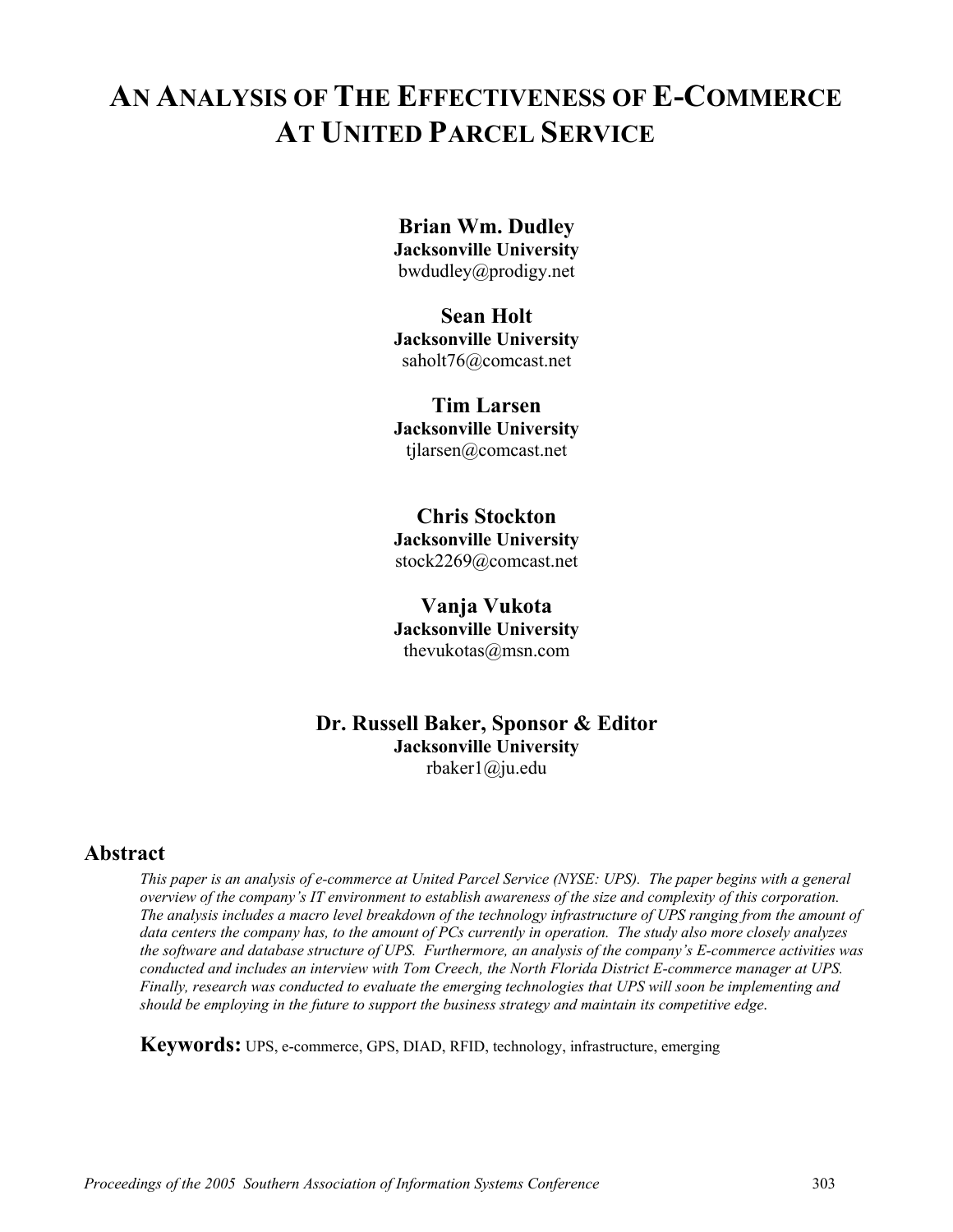# **AN ANALYSIS OF THE EFFECTIVENESS OF E-COMMERCE AT UNITED PARCEL SERVICE**

### **Brian Wm. Dudley**

**Jacksonville University** bwdudley@prodigy.net

# **Sean Holt**

**Jacksonville University** saholt76@comcast.net

#### **Tim Larsen**

**Jacksonville University** tjlarsen@comcast.net

#### **Chris Stockton**

**Jacksonville University** 

stock2269@comcast.net

#### **Vanja Vukota**

**Jacksonville University** thevukotas@msn.com

#### **Dr. Russell Baker, Sponsor & Editor Jacksonville University**  rbaker1@ju.edu

#### **Abstract**

*This paper is an analysis of e-commerce at United Parcel Service (NYSE: UPS). The paper begins with a general overview of the company's IT environment to establish awareness of the size and complexity of this corporation. The analysis includes a macro level breakdown of the technology infrastructure of UPS ranging from the amount of data centers the company has, to the amount of PCs currently in operation. The study also more closely analyzes the software and database structure of UPS. Furthermore, an analysis of the company's E-commerce activities was conducted and includes an interview with Tom Creech, the North Florida District E-commerce manager at UPS. Finally, research was conducted to evaluate the emerging technologies that UPS will soon be implementing and should be employing in the future to support the business strategy and maintain its competitive edge*.

**Keywords:** UPS, e-commerce, GPS, DIAD, RFID, technology, infrastructure, emerging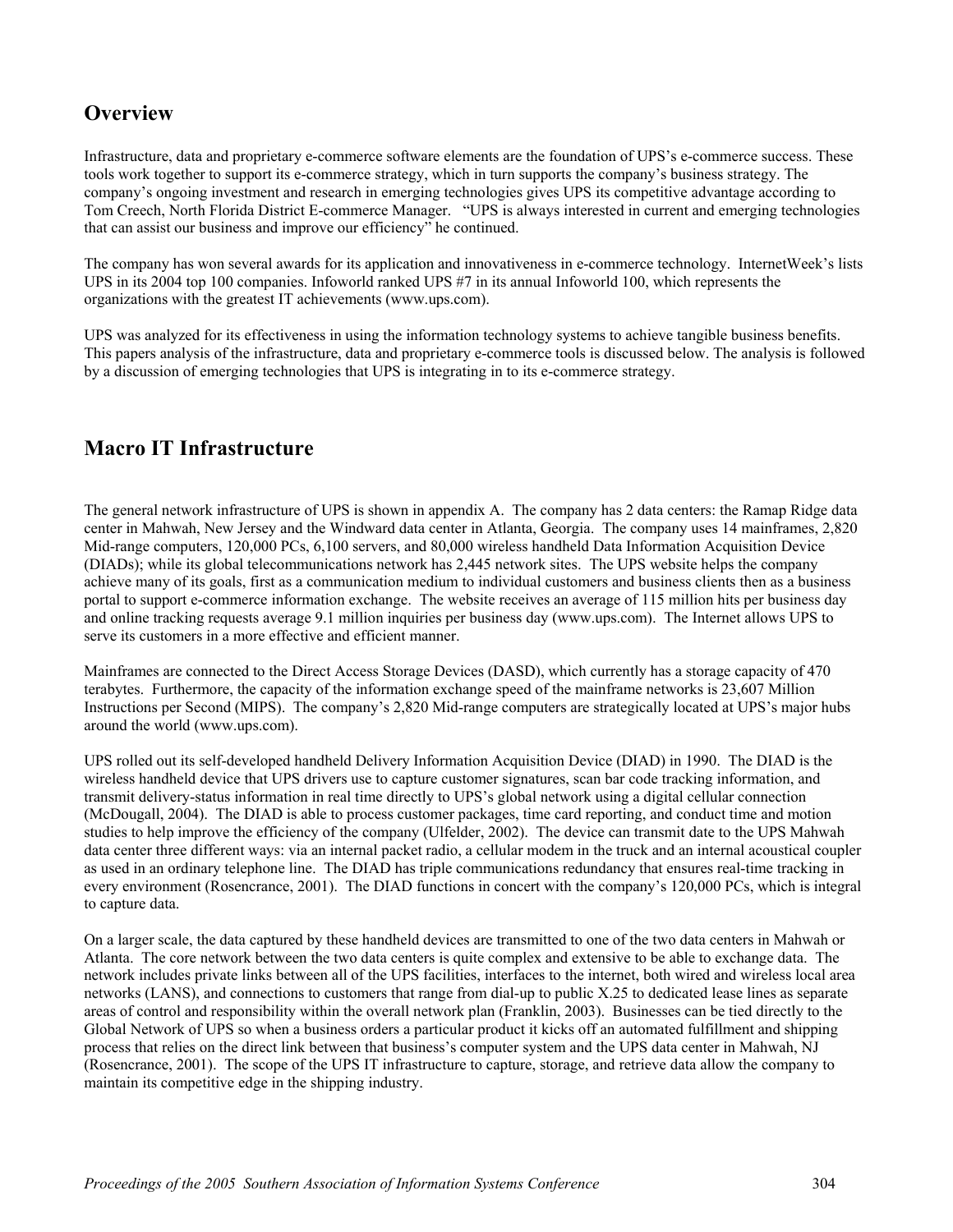## **Overview**

Infrastructure, data and proprietary e-commerce software elements are the foundation of UPS's e-commerce success. These tools work together to support its e-commerce strategy, which in turn supports the company's business strategy. The company's ongoing investment and research in emerging technologies gives UPS its competitive advantage according to Tom Creech, North Florida District E-commerce Manager. "UPS is always interested in current and emerging technologies that can assist our business and improve our efficiency" he continued.

The company has won several awards for its application and innovativeness in e-commerce technology. InternetWeek's lists UPS in its 2004 top 100 companies. Infoworld ranked UPS #7 in its annual Infoworld 100, which represents the organizations with the greatest IT achievements (www.ups.com).

UPS was analyzed for its effectiveness in using the information technology systems to achieve tangible business benefits. This papers analysis of the infrastructure, data and proprietary e-commerce tools is discussed below. The analysis is followed by a discussion of emerging technologies that UPS is integrating in to its e-commerce strategy.

## **Macro IT Infrastructure**

The general network infrastructure of UPS is shown in appendix A. The company has 2 data centers: the Ramap Ridge data center in Mahwah, New Jersey and the Windward data center in Atlanta, Georgia. The company uses 14 mainframes, 2,820 Mid-range computers, 120,000 PCs, 6,100 servers, and 80,000 wireless handheld Data Information Acquisition Device (DIADs); while its global telecommunications network has 2,445 network sites. The UPS website helps the company achieve many of its goals, first as a communication medium to individual customers and business clients then as a business portal to support e-commerce information exchange. The website receives an average of 115 million hits per business day and online tracking requests average 9.1 million inquiries per business day (www.ups.com). The Internet allows UPS to serve its customers in a more effective and efficient manner.

Mainframes are connected to the Direct Access Storage Devices (DASD), which currently has a storage capacity of 470 terabytes. Furthermore, the capacity of the information exchange speed of the mainframe networks is 23,607 Million Instructions per Second (MIPS). The company's 2,820 Mid-range computers are strategically located at UPS's major hubs around the world (www.ups.com).

UPS rolled out its self-developed handheld Delivery Information Acquisition Device (DIAD) in 1990. The DIAD is the wireless handheld device that UPS drivers use to capture customer signatures, scan bar code tracking information, and transmit delivery-status information in real time directly to UPS's global network using a digital cellular connection (McDougall, 2004). The DIAD is able to process customer packages, time card reporting, and conduct time and motion studies to help improve the efficiency of the company (Ulfelder, 2002). The device can transmit date to the UPS Mahwah data center three different ways: via an internal packet radio, a cellular modem in the truck and an internal acoustical coupler as used in an ordinary telephone line. The DIAD has triple communications redundancy that ensures real-time tracking in every environment (Rosencrance, 2001). The DIAD functions in concert with the company's 120,000 PCs, which is integral to capture data.

On a larger scale, the data captured by these handheld devices are transmitted to one of the two data centers in Mahwah or Atlanta. The core network between the two data centers is quite complex and extensive to be able to exchange data. The network includes private links between all of the UPS facilities, interfaces to the internet, both wired and wireless local area networks (LANS), and connections to customers that range from dial-up to public X.25 to dedicated lease lines as separate areas of control and responsibility within the overall network plan (Franklin, 2003). Businesses can be tied directly to the Global Network of UPS so when a business orders a particular product it kicks off an automated fulfillment and shipping process that relies on the direct link between that business's computer system and the UPS data center in Mahwah, NJ (Rosencrance, 2001). The scope of the UPS IT infrastructure to capture, storage, and retrieve data allow the company to maintain its competitive edge in the shipping industry.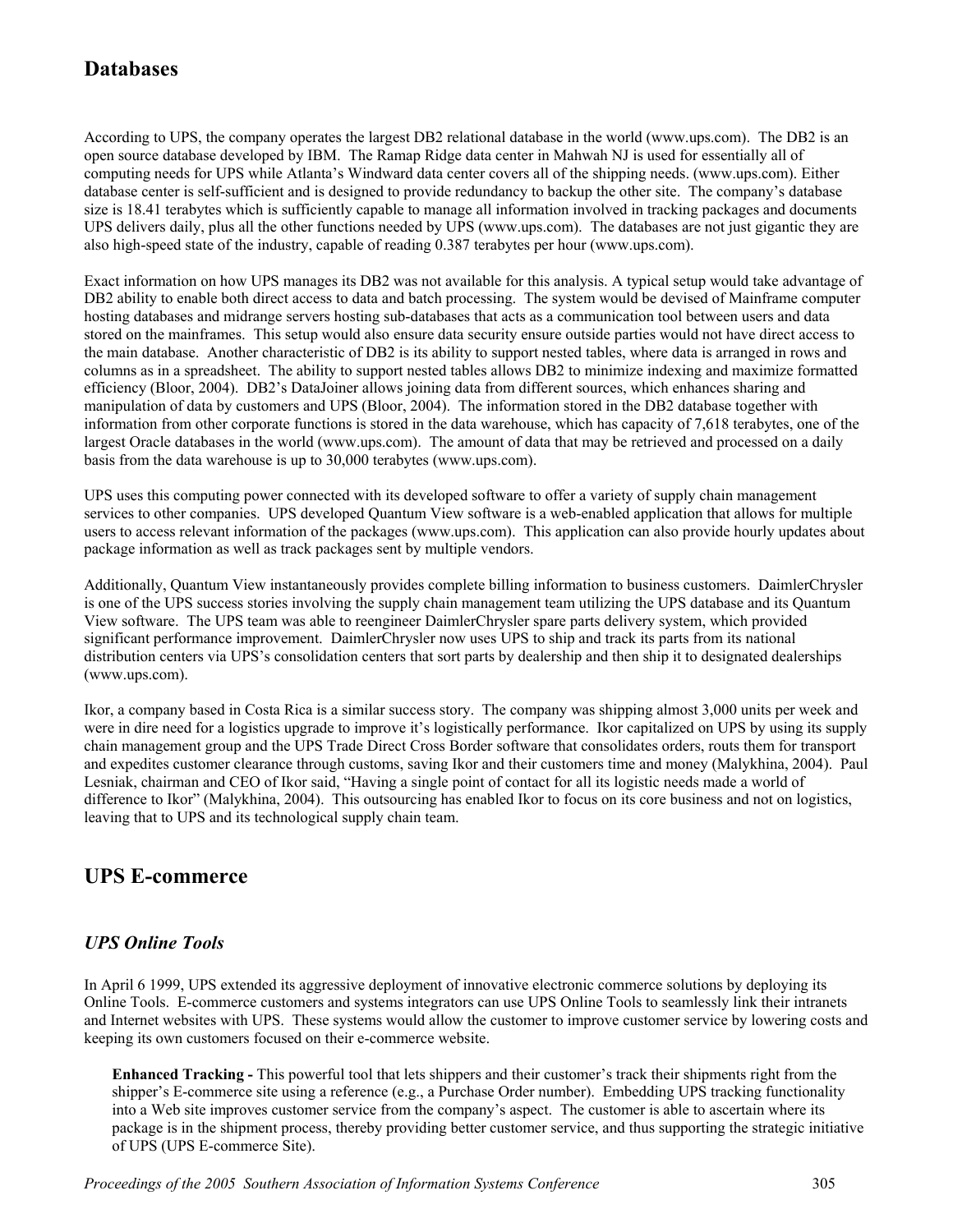## **Databases**

According to UPS, the company operates the largest DB2 relational database in the world (www.ups.com). The DB2 is an open source database developed by IBM. The Ramap Ridge data center in Mahwah NJ is used for essentially all of computing needs for UPS while Atlanta's Windward data center covers all of the shipping needs. (www.ups.com). Either database center is self-sufficient and is designed to provide redundancy to backup the other site. The company's database size is 18.41 terabytes which is sufficiently capable to manage all information involved in tracking packages and documents UPS delivers daily, plus all the other functions needed by UPS (www.ups.com). The databases are not just gigantic they are also high-speed state of the industry, capable of reading 0.387 terabytes per hour (www.ups.com).

Exact information on how UPS manages its DB2 was not available for this analysis. A typical setup would take advantage of DB2 ability to enable both direct access to data and batch processing. The system would be devised of Mainframe computer hosting databases and midrange servers hosting sub-databases that acts as a communication tool between users and data stored on the mainframes. This setup would also ensure data security ensure outside parties would not have direct access to the main database. Another characteristic of DB2 is its ability to support nested tables, where data is arranged in rows and columns as in a spreadsheet. The ability to support nested tables allows DB2 to minimize indexing and maximize formatted efficiency (Bloor, 2004). DB2's DataJoiner allows joining data from different sources, which enhances sharing and manipulation of data by customers and UPS (Bloor, 2004). The information stored in the DB2 database together with information from other corporate functions is stored in the data warehouse, which has capacity of 7,618 terabytes, one of the largest Oracle databases in the world (www.ups.com). The amount of data that may be retrieved and processed on a daily basis from the data warehouse is up to 30,000 terabytes (www.ups.com).

UPS uses this computing power connected with its developed software to offer a variety of supply chain management services to other companies. UPS developed Quantum View software is a web-enabled application that allows for multiple users to access relevant information of the packages (www.ups.com). This application can also provide hourly updates about package information as well as track packages sent by multiple vendors.

Additionally, Quantum View instantaneously provides complete billing information to business customers. DaimlerChrysler is one of the UPS success stories involving the supply chain management team utilizing the UPS database and its Quantum View software. The UPS team was able to reengineer DaimlerChrysler spare parts delivery system, which provided significant performance improvement. DaimlerChrysler now uses UPS to ship and track its parts from its national distribution centers via UPS's consolidation centers that sort parts by dealership and then ship it to designated dealerships (www.ups.com).

Ikor, a company based in Costa Rica is a similar success story. The company was shipping almost 3,000 units per week and were in dire need for a logistics upgrade to improve it's logistically performance. Ikor capitalized on UPS by using its supply chain management group and the UPS Trade Direct Cross Border software that consolidates orders, routs them for transport and expedites customer clearance through customs, saving Ikor and their customers time and money (Malykhina, 2004). Paul Lesniak, chairman and CEO of Ikor said, "Having a single point of contact for all its logistic needs made a world of difference to Ikor" (Malykhina, 2004). This outsourcing has enabled Ikor to focus on its core business and not on logistics, leaving that to UPS and its technological supply chain team.

## **UPS E-commerce**

#### *UPS Online Tools*

In April 6 1999, UPS extended its aggressive deployment of innovative electronic commerce solutions by deploying its Online Tools. E-commerce customers and systems integrators can use UPS Online Tools to seamlessly link their intranets and Internet websites with UPS. These systems would allow the customer to improve customer service by lowering costs and keeping its own customers focused on their e-commerce website.

**Enhanced Tracking -** This powerful tool that lets shippers and their customer's track their shipments right from the shipper's E-commerce site using a reference (e.g., a Purchase Order number). Embedding UPS tracking functionality into a Web site improves customer service from the company's aspect. The customer is able to ascertain where its package is in the shipment process, thereby providing better customer service, and thus supporting the strategic initiative of UPS (UPS E-commerce Site).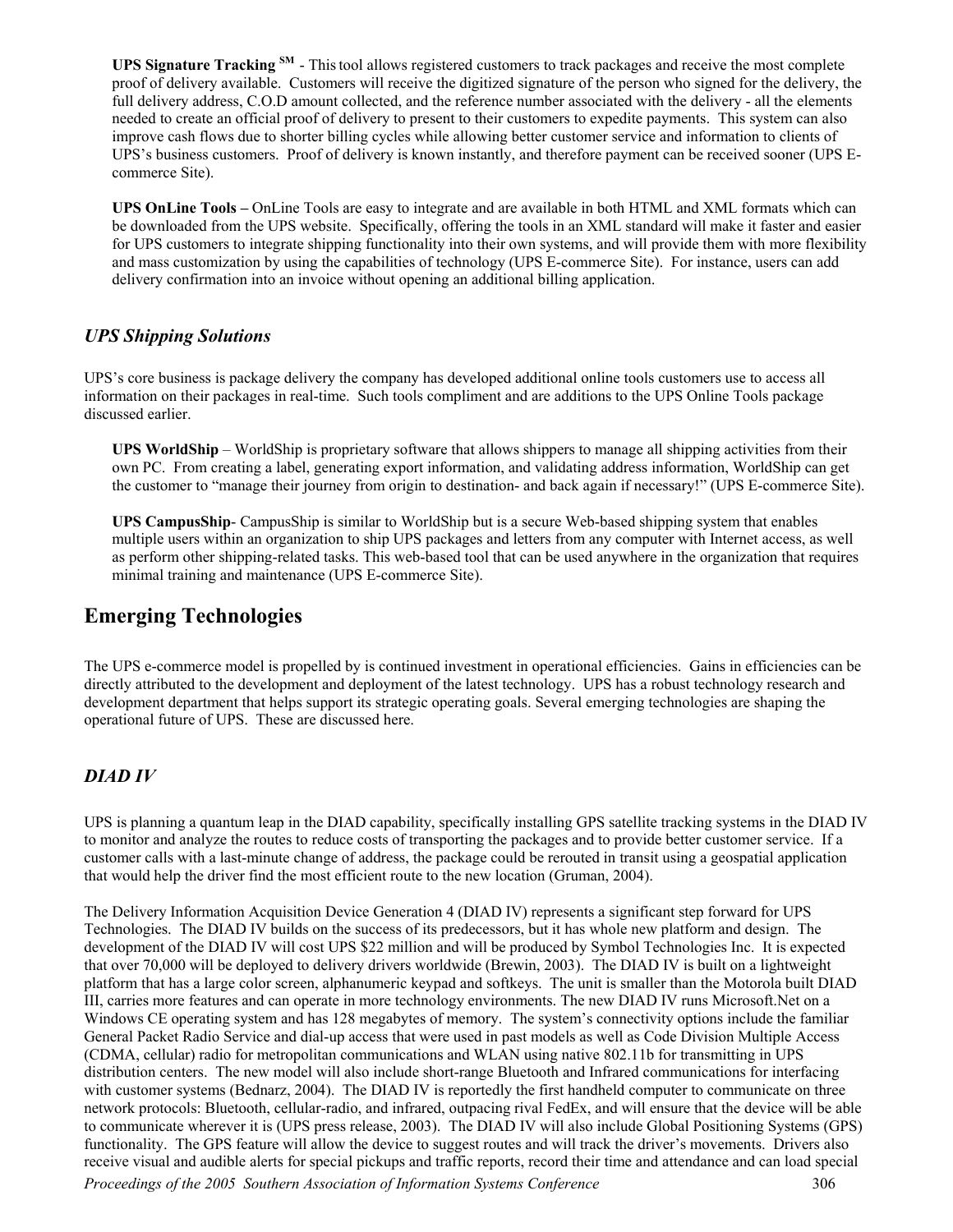**UPS Signature Tracking SM** - Thistool allows registered customers to track packages and receive the most complete proof of delivery available. Customers will receive the digitized signature of the person who signed for the delivery, the full delivery address, C.O.D amount collected, and the reference number associated with the delivery - all the elements needed to create an official proof of delivery to present to their customers to expedite payments. This system can also improve cash flows due to shorter billing cycles while allowing better customer service and information to clients of UPS's business customers. Proof of delivery is known instantly, and therefore payment can be received sooner (UPS Ecommerce Site).

**UPS OnLine Tools –** OnLine Tools are easy to integrate and are available in both HTML and XML formats which can be downloaded from the UPS website. Specifically, offering the tools in an XML standard will make it faster and easier for UPS customers to integrate shipping functionality into their own systems, and will provide them with more flexibility and mass customization by using the capabilities of technology (UPS E-commerce Site). For instance, users can add delivery confirmation into an invoice without opening an additional billing application.

#### *UPS Shipping Solutions*

UPS's core business is package delivery the company has developed additional online tools customers use to access all information on their packages in real-time. Such tools compliment and are additions to the UPS Online Tools package discussed earlier.

**UPS WorldShip** – WorldShip is proprietary software that allows shippers to manage all shipping activities from their own PC. From creating a label, generating export information, and validating address information, WorldShip can get the customer to "manage their journey from origin to destination- and back again if necessary!" (UPS E-commerce Site).

**UPS CampusShip**- CampusShip is similar to WorldShip but is a secure Web-based shipping system that enables multiple users within an organization to ship UPS packages and letters from any computer with Internet access, as well as perform other shipping-related tasks. This web-based tool that can be used anywhere in the organization that requires minimal training and maintenance (UPS E-commerce Site).

### **Emerging Technologies**

The UPS e-commerce model is propelled by is continued investment in operational efficiencies. Gains in efficiencies can be directly attributed to the development and deployment of the latest technology. UPS has a robust technology research and development department that helps support its strategic operating goals. Several emerging technologies are shaping the operational future of UPS. These are discussed here.

#### *DIAD IV*

UPS is planning a quantum leap in the DIAD capability, specifically installing GPS satellite tracking systems in the DIAD IV to monitor and analyze the routes to reduce costs of transporting the packages and to provide better customer service. If a customer calls with a last-minute change of address, the package could be rerouted in transit using a geospatial application that would help the driver find the most efficient route to the new location (Gruman, 2004).

The Delivery Information Acquisition Device Generation 4 (DIAD IV) represents a significant step forward for UPS Technologies. The DIAD IV builds on the success of its predecessors, but it has whole new platform and design. The development of the DIAD IV will cost UPS \$22 million and will be produced by Symbol Technologies Inc. It is expected that over 70,000 will be deployed to delivery drivers worldwide (Brewin, 2003). The DIAD IV is built on a lightweight platform that has a large color screen, alphanumeric keypad and softkeys. The unit is smaller than the Motorola built DIAD III, carries more features and can operate in more technology environments. The new DIAD IV runs Microsoft.Net on a Windows CE operating system and has 128 megabytes of memory. The system's connectivity options include the familiar General Packet Radio Service and dial-up access that were used in past models as well as Code Division Multiple Access (CDMA, cellular) radio for metropolitan communications and WLAN using native 802.11b for transmitting in UPS distribution centers. The new model will also include short-range Bluetooth and Infrared communications for interfacing with customer systems (Bednarz, 2004). The DIAD IV is reportedly the first handheld computer to communicate on three network protocols: Bluetooth, cellular-radio, and infrared, outpacing rival FedEx, and will ensure that the device will be able to communicate wherever it is (UPS press release, 2003). The DIAD IV will also include Global Positioning Systems (GPS) functionality. The GPS feature will allow the device to suggest routes and will track the driver's movements. Drivers also receive visual and audible alerts for special pickups and traffic reports, record their time and attendance and can load special

*Proceedings of the 2005 Southern Association of Information Systems Conference* 306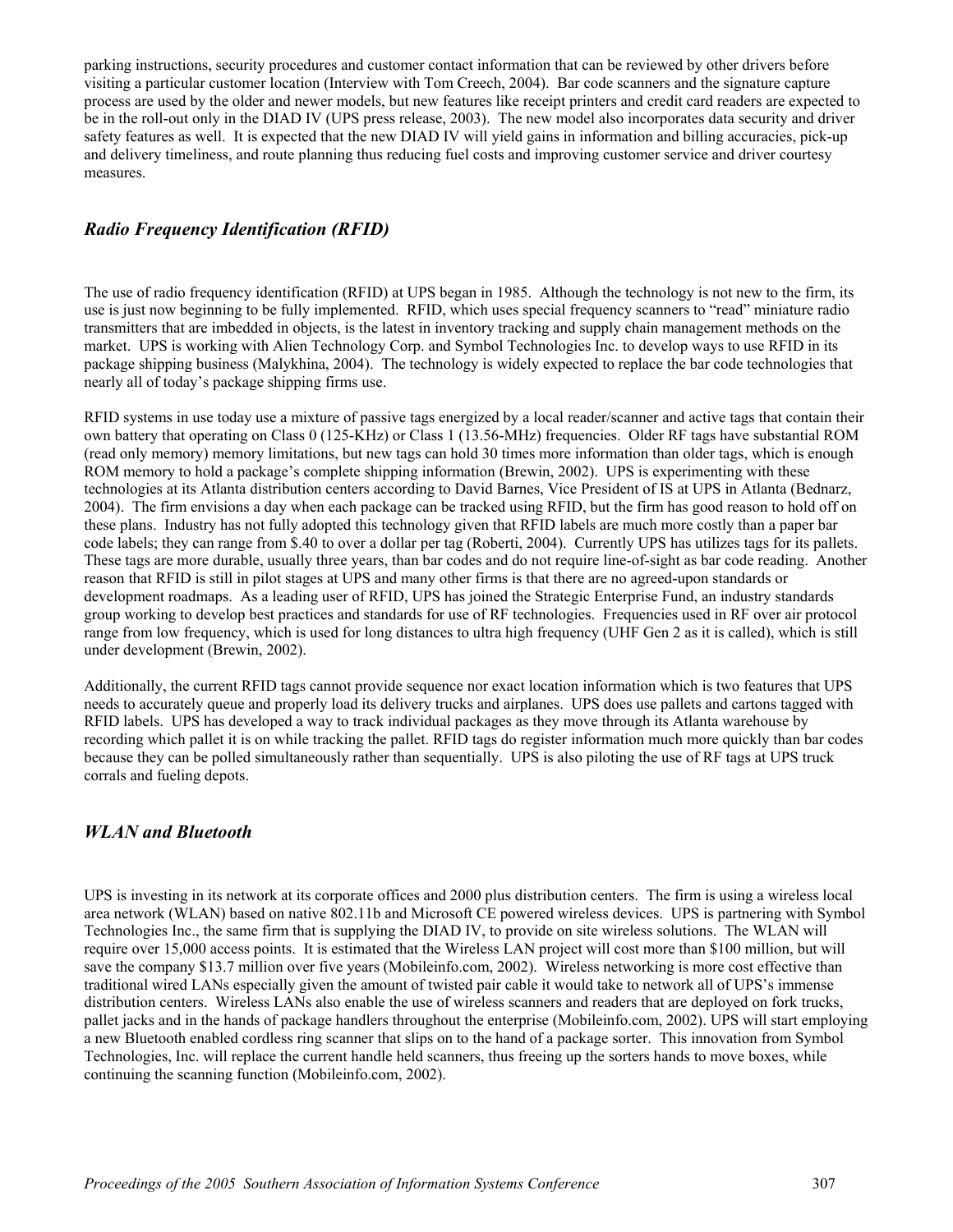parking instructions, security procedures and customer contact information that can be reviewed by other drivers before visiting a particular customer location (Interview with Tom Creech, 2004). Bar code scanners and the signature capture process are used by the older and newer models, but new features like receipt printers and credit card readers are expected to be in the roll-out only in the DIAD IV (UPS press release, 2003). The new model also incorporates data security and driver safety features as well. It is expected that the new DIAD IV will yield gains in information and billing accuracies, pick-up and delivery timeliness, and route planning thus reducing fuel costs and improving customer service and driver courtesy measures.

#### *Radio Frequency Identification (RFID)*

The use of radio frequency identification (RFID) at UPS began in 1985. Although the technology is not new to the firm, its use is just now beginning to be fully implemented. RFID, which uses special frequency scanners to "read" miniature radio transmitters that are imbedded in objects, is the latest in inventory tracking and supply chain management methods on the market. UPS is working with Alien Technology Corp. and Symbol Technologies Inc. to develop ways to use RFID in its package shipping business (Malykhina, 2004). The technology is widely expected to replace the bar code technologies that nearly all of today's package shipping firms use.

RFID systems in use today use a mixture of passive tags energized by a local reader/scanner and active tags that contain their own battery that operating on Class 0 (125-KHz) or Class 1 (13.56-MHz) frequencies. Older RF tags have substantial ROM (read only memory) memory limitations, but new tags can hold 30 times more information than older tags, which is enough ROM memory to hold a package's complete shipping information (Brewin, 2002). UPS is experimenting with these technologies at its Atlanta distribution centers according to David Barnes, Vice President of IS at UPS in Atlanta (Bednarz, 2004). The firm envisions a day when each package can be tracked using RFID, but the firm has good reason to hold off on these plans. Industry has not fully adopted this technology given that RFID labels are much more costly than a paper bar code labels; they can range from \$.40 to over a dollar per tag (Roberti, 2004). Currently UPS has utilizes tags for its pallets. These tags are more durable, usually three years, than bar codes and do not require line-of-sight as bar code reading. Another reason that RFID is still in pilot stages at UPS and many other firms is that there are no agreed-upon standards or development roadmaps. As a leading user of RFID, UPS has joined the Strategic Enterprise Fund, an industry standards group working to develop best practices and standards for use of RF technologies. Frequencies used in RF over air protocol range from low frequency, which is used for long distances to ultra high frequency (UHF Gen 2 as it is called), which is still under development (Brewin, 2002).

Additionally, the current RFID tags cannot provide sequence nor exact location information which is two features that UPS needs to accurately queue and properly load its delivery trucks and airplanes. UPS does use pallets and cartons tagged with RFID labels. UPS has developed a way to track individual packages as they move through its Atlanta warehouse by recording which pallet it is on while tracking the pallet. RFID tags do register information much more quickly than bar codes because they can be polled simultaneously rather than sequentially. UPS is also piloting the use of RF tags at UPS truck corrals and fueling depots.

#### *WLAN and Bluetooth*

UPS is investing in its network at its corporate offices and 2000 plus distribution centers. The firm is using a wireless local area network (WLAN) based on native 802.11b and Microsoft CE powered wireless devices. UPS is partnering with Symbol Technologies Inc., the same firm that is supplying the DIAD IV, to provide on site wireless solutions. The WLAN will require over 15,000 access points. It is estimated that the Wireless LAN project will cost more than \$100 million, but will save the company \$13.7 million over five years (Mobileinfo.com, 2002). Wireless networking is more cost effective than traditional wired LANs especially given the amount of twisted pair cable it would take to network all of UPS's immense distribution centers. Wireless LANs also enable the use of wireless scanners and readers that are deployed on fork trucks, pallet jacks and in the hands of package handlers throughout the enterprise (Mobileinfo.com, 2002). UPS will start employing a new Bluetooth enabled cordless ring scanner that slips on to the hand of a package sorter. This innovation from Symbol Technologies, Inc. will replace the current handle held scanners, thus freeing up the sorters hands to move boxes, while continuing the scanning function (Mobileinfo.com, 2002).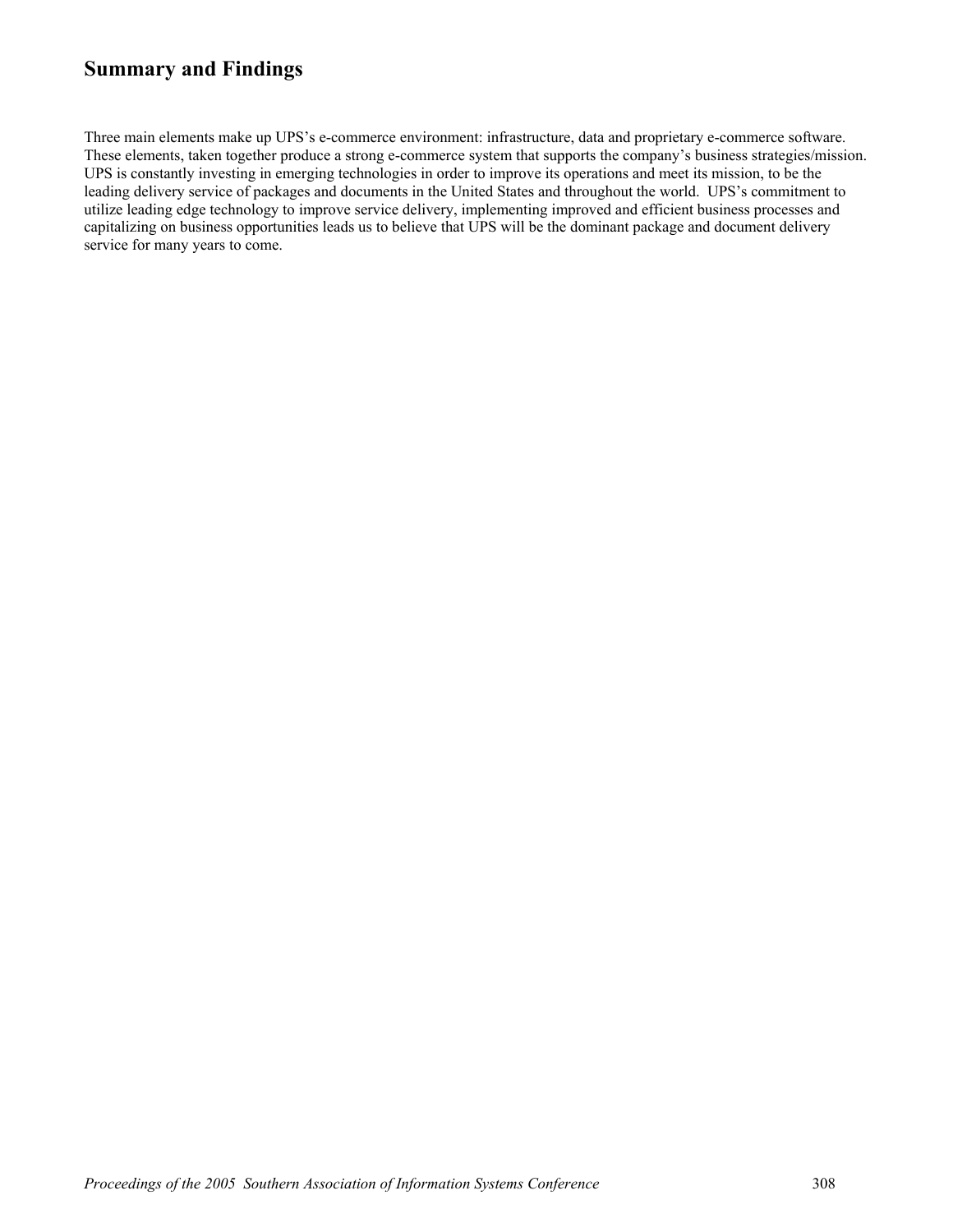## **Summary and Findings**

Three main elements make up UPS's e-commerce environment: infrastructure, data and proprietary e-commerce software. These elements, taken together produce a strong e-commerce system that supports the company's business strategies/mission. UPS is constantly investing in emerging technologies in order to improve its operations and meet its mission, to be the leading delivery service of packages and documents in the United States and throughout the world. UPS's commitment to utilize leading edge technology to improve service delivery, implementing improved and efficient business processes and capitalizing on business opportunities leads us to believe that UPS will be the dominant package and document delivery service for many years to come.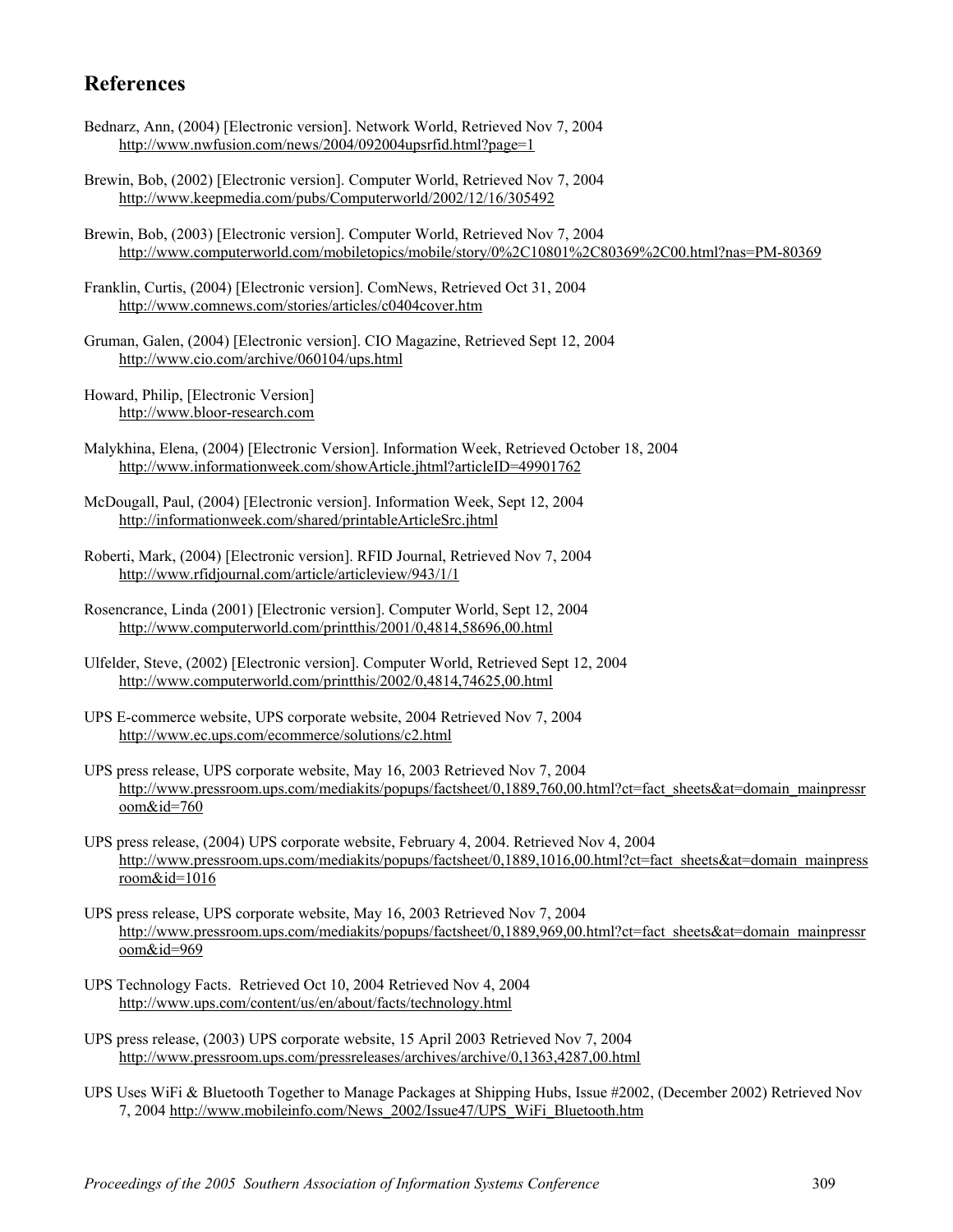## **References**

- Bednarz, Ann, (2004) [Electronic version]. Network World, Retrieved Nov 7, 2004 [http://www.nwfusion.com/news/2004/092004upsrfid.html?page=1](http://www.nwfusion.com/news/2004/092004upsrfid.html?page=1%20)
- Brewin, Bob, (2002) [Electronic version]. Computer World, Retrieved Nov 7, 2004 <http://www.keepmedia.com/pubs/Computerworld/2002/12/16/305492>
- Brewin, Bob, (2003) [Electronic version]. Computer World, Retrieved Nov 7, 2004 [http://www.computerworld.com/mobiletopics/mobile/story/0%2C10801%2C80369%2C00.html?nas=PM-80369](http://www.computerworld.com/mobiletopics/mobile/story/0,10801,80369,00.html?nas=PM-80369%20)
- Franklin, Curtis, (2004) [Electronic version]. ComNews, Retrieved Oct 31, 2004 <http://www.comnews.com/stories/articles/c0404cover.htm>
- Gruman, Galen, (2004) [Electronic version]. CIO Magazine, Retrieved Sept 12, 2004 <http://www.cio.com/archive/060104/ups.html>
- Howard, Philip, [Electronic Version] [http://www.bloor-research.com](http://www.bloor-research.com/)
- Malykhina, Elena, (2004) [Electronic Version]. Information Week, Retrieved October 18, 2004 <http://www.informationweek.com/showArticle.jhtml?articleID=49901762>
- McDougall, Paul, (2004) [Electronic version]. Information Week, Sept 12, 2004 <http://informationweek.com/shared/printableArticleSrc.jhtml>
- Roberti, Mark, (2004) [Electronic version]. RFID Journal, Retrieved Nov 7, 2004 <http://www.rfidjournal.com/article/articleview/943/1/1>
- Rosencrance, Linda (2001) [Electronic version]. Computer World, Sept 12, 2004 <http://www.computerworld.com/printthis/2001/0,4814,58696,00.html>
- Ulfelder, Steve, (2002) [Electronic version]. Computer World, Retrieved Sept 12, 2004 <http://www.computerworld.com/printthis/2002/0,4814,74625,00.html>
- UPS E-commerce website, UPS corporate website, 2004 Retrieved Nov 7, 2004 <http://www.ec.ups.com/ecommerce/solutions/c2.html>
- UPS press release, UPS corporate website, May 16, 2003 Retrieved Nov 7, 2004 [http://www.pressroom.ups.com/mediakits/popups/factsheet/0,1889,760,00.html?ct=fact\\_sheets&at=domain\\_mainpressr](http://www.pressroom.ups.com/mediakits/popups/factsheet/0,1889,760,00.html?ct=fact_sheets&at=domain_mainpressroom&id=760) [oom&id=760](http://www.pressroom.ups.com/mediakits/popups/factsheet/0,1889,760,00.html?ct=fact_sheets&at=domain_mainpressroom&id=760)
- UPS press release, (2004) UPS corporate website, February 4, 2004. Retrieved Nov 4, 2004 [http://www.pressroom.ups.com/mediakits/popups/factsheet/0,1889,1016,00.html?ct=fact\\_sheets&at=domain\\_mainpress](http://www.pressroom.ups.com/mediakits/popups/factsheet/0,1889,1016,00.html?ct=fact_sheets&at=domain_mainpressroom&id=1016) [room&id=1016](http://www.pressroom.ups.com/mediakits/popups/factsheet/0,1889,1016,00.html?ct=fact_sheets&at=domain_mainpressroom&id=1016)
- UPS press release, UPS corporate website, May 16, 2003 Retrieved Nov 7, 2004 [http://www.pressroom.ups.com/mediakits/popups/factsheet/0,1889,969,00.html?ct=fact\\_sheets&at=domain\\_mainpressr](http://www.pressroom.ups.com/mediakits/popups/factsheet/0,1889,969,00.html?ct=fact_sheets&at=domain_mainpressroom&id=969) [oom&id=969](http://www.pressroom.ups.com/mediakits/popups/factsheet/0,1889,969,00.html?ct=fact_sheets&at=domain_mainpressroom&id=969)
- UPS Technology Facts. Retrieved Oct 10, 2004 Retrieved Nov 4, 2004 <http://www.ups.com/content/us/en/about/facts/technology.html>
- UPS press release, (2003) UPS corporate website, 15 April 2003 Retrieved Nov 7, 2004 <http://www.pressroom.ups.com/pressreleases/archives/archive/0,1363,4287,00.html>
- UPS Uses WiFi & Bluetooth Together to Manage Packages at Shipping Hubs, Issue #2002, (December 2002) Retrieved Nov 7, 2004 [http://www.mobileinfo.com/News\\_2002/Issue47/UPS\\_WiFi\\_Bluetooth.htm](http://www.mobileinfo.com/News_2002/Issue47/UPS_WiFi_Bluetooth.htm)